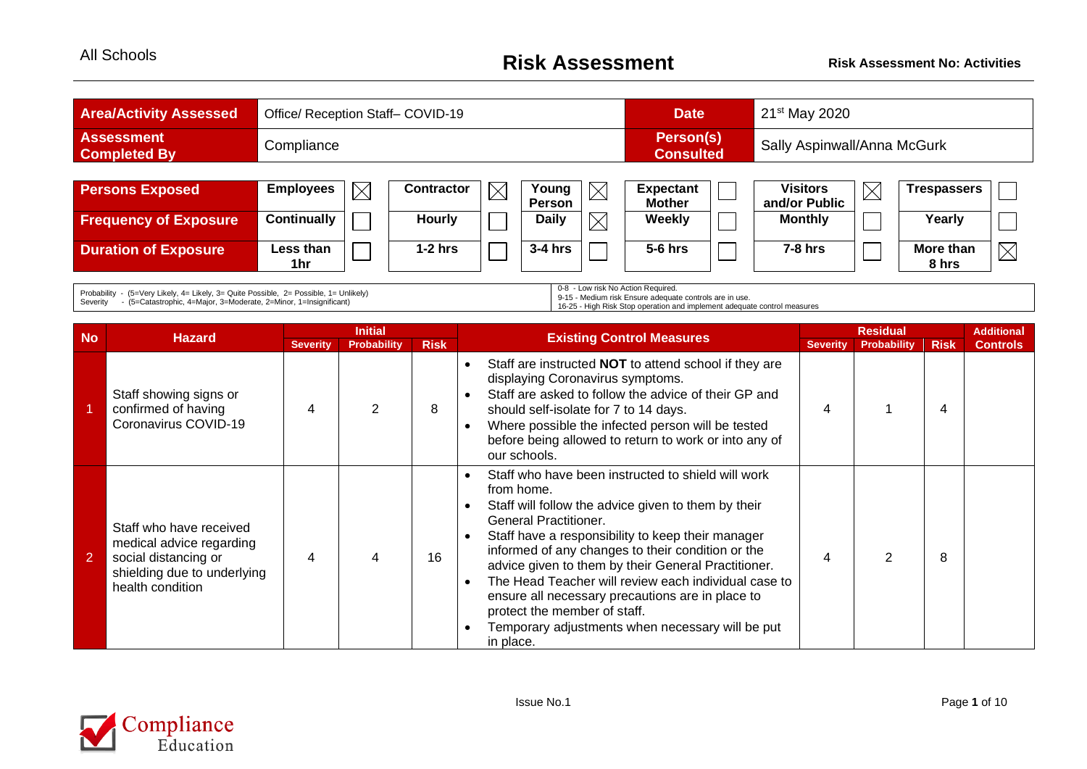| <b>Area/Activity Assessed</b>            | Office/ Reception Staff- COVID-19 |          |                   |             |                 |          | <b>Date</b>                                                  |  | $21st$ May 2020                  |             |                    |             |  |
|------------------------------------------|-----------------------------------|----------|-------------------|-------------|-----------------|----------|--------------------------------------------------------------|--|----------------------------------|-------------|--------------------|-------------|--|
| <b>Assessment</b><br><b>Completed By</b> | Compliance                        |          |                   |             |                 |          | Person(s)<br>Sally Aspinwall/Anna McGurk<br><b>Consulted</b> |  |                                  |             |                    |             |  |
|                                          |                                   |          |                   |             |                 |          |                                                              |  |                                  |             |                    |             |  |
| <b>Persons Exposed</b>                   | <b>Employees</b>                  | $\times$ | <b>Contractor</b> | $\boxtimes$ | Young<br>Person | $\times$ | <b>Expectant</b><br><b>Mother</b>                            |  | <b>Visitors</b><br>and/or Public | $\boxtimes$ | Trespassers        |             |  |
| <b>Frequency of Exposure</b>             | <b>Continually</b>                |          | <b>Hourly</b>     |             | <b>Daily</b>    | $\times$ | <b>Weekly</b>                                                |  | <b>Monthly</b>                   |             | Yearly             |             |  |
| <b>Duration of Exposure</b>              | Less than<br>1hr                  |          | $1-2$ hrs         |             | 3-4 hrs         |          | $5-6$ hrs                                                    |  | $7-8$ hrs                        |             | More than<br>8 hrs | $\boxtimes$ |  |

Probability - (5=Very Likely, 4= Likely, 3= Quite Possible, 2= Possible, 1= Unlikely) Severity - (5=Catastrophic, 4=Major, 3=Moderate, 2=Minor, 1=Insignificant)

0-8 - Low risk No Action Required.

9-15 - Medium risk Ensure adequate controls are in use. 16-25 - High Risk Stop operation and implement adequate control measures

|           |                                                                                                                                |                 | <b>Initial</b>     |             |                                                                                                                                                                                                                                                                                                                                                                                                                                                                                                                                                                                                        | <b>Residual</b> |                    |             | <b>Additional</b> |
|-----------|--------------------------------------------------------------------------------------------------------------------------------|-----------------|--------------------|-------------|--------------------------------------------------------------------------------------------------------------------------------------------------------------------------------------------------------------------------------------------------------------------------------------------------------------------------------------------------------------------------------------------------------------------------------------------------------------------------------------------------------------------------------------------------------------------------------------------------------|-----------------|--------------------|-------------|-------------------|
| <b>No</b> | <b>Hazard</b>                                                                                                                  | <b>Severity</b> | <b>Probability</b> | <b>Risk</b> | <b>Existing Control Measures</b>                                                                                                                                                                                                                                                                                                                                                                                                                                                                                                                                                                       | <b>Severity</b> | <b>Probability</b> | <b>Risk</b> | <b>Controls</b>   |
|           | Staff showing signs or<br>confirmed of having<br>Coronavirus COVID-19                                                          | 4               |                    | 8           | Staff are instructed <b>NOT</b> to attend school if they are<br>$\bullet$<br>displaying Coronavirus symptoms.<br>Staff are asked to follow the advice of their GP and<br>$\bullet$<br>should self-isolate for 7 to 14 days.<br>Where possible the infected person will be tested<br>$\bullet$<br>before being allowed to return to work or into any of<br>our schools.                                                                                                                                                                                                                                 |                 |                    | 4           |                   |
| 2         | Staff who have received<br>medical advice regarding<br>social distancing or<br>shielding due to underlying<br>health condition | 4               |                    | 16          | Staff who have been instructed to shield will work<br>$\bullet$<br>from home.<br>Staff will follow the advice given to them by their<br>$\bullet$<br><b>General Practitioner.</b><br>Staff have a responsibility to keep their manager<br>$\bullet$<br>informed of any changes to their condition or the<br>advice given to them by their General Practitioner.<br>The Head Teacher will review each individual case to<br>$\bullet$<br>ensure all necessary precautions are in place to<br>protect the member of staff.<br>Temporary adjustments when necessary will be put<br>$\bullet$<br>in place. |                 |                    | 8           |                   |

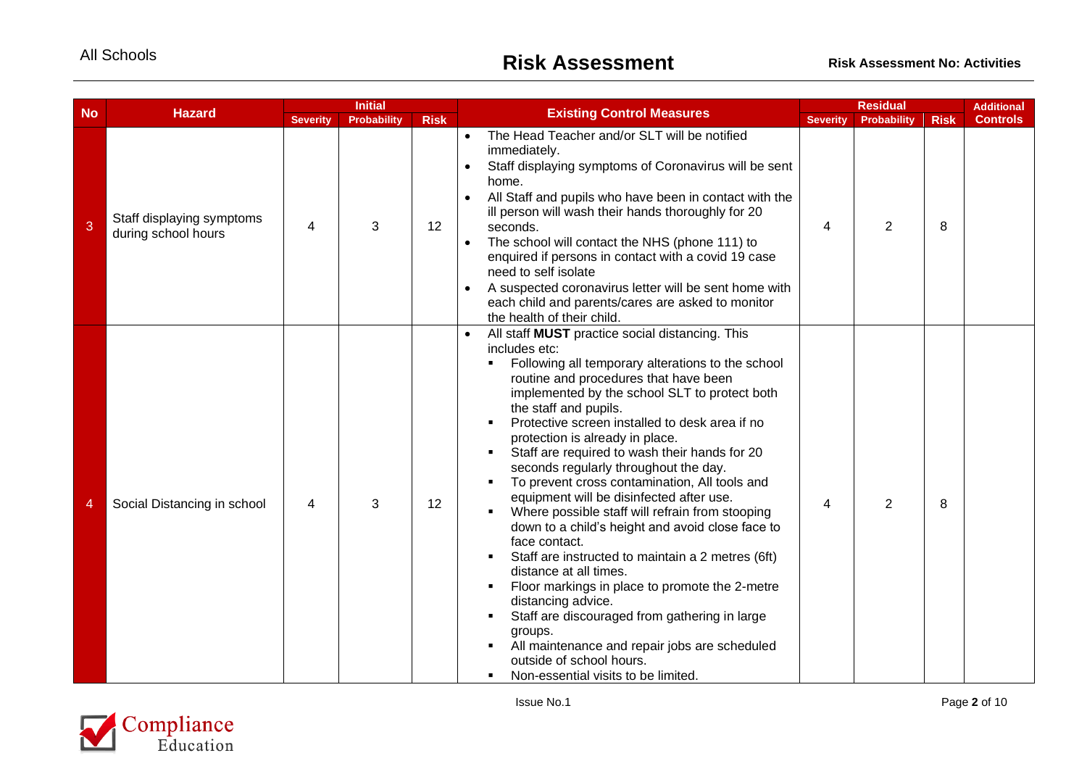|           | <b>Hazard</b>                                    |                 | <b>Initial</b>     |             | <b>Existing Control Measures</b>                                                                                                                                                                                                                                                                                                                                                                                                                                                                                                                                                                                                                                                                                                                                                                                                                                                                                                                                                                                                                                                   |                 | <b>Residual</b> |             |                 |
|-----------|--------------------------------------------------|-----------------|--------------------|-------------|------------------------------------------------------------------------------------------------------------------------------------------------------------------------------------------------------------------------------------------------------------------------------------------------------------------------------------------------------------------------------------------------------------------------------------------------------------------------------------------------------------------------------------------------------------------------------------------------------------------------------------------------------------------------------------------------------------------------------------------------------------------------------------------------------------------------------------------------------------------------------------------------------------------------------------------------------------------------------------------------------------------------------------------------------------------------------------|-----------------|-----------------|-------------|-----------------|
| <b>No</b> |                                                  | <b>Severity</b> | <b>Probability</b> | <b>Risk</b> |                                                                                                                                                                                                                                                                                                                                                                                                                                                                                                                                                                                                                                                                                                                                                                                                                                                                                                                                                                                                                                                                                    | <b>Severity</b> | Probability     | <b>Risk</b> | <b>Controls</b> |
| 3         | Staff displaying symptoms<br>during school hours | 4               | 3                  | 12          | The Head Teacher and/or SLT will be notified<br>$\bullet$<br>immediately.<br>Staff displaying symptoms of Coronavirus will be sent<br>$\bullet$<br>home.<br>All Staff and pupils who have been in contact with the<br>$\bullet$<br>ill person will wash their hands thoroughly for 20<br>seconds.<br>The school will contact the NHS (phone 111) to<br>$\bullet$<br>enquired if persons in contact with a covid 19 case<br>need to self isolate<br>A suspected coronavirus letter will be sent home with<br>$\bullet$<br>each child and parents/cares are asked to monitor<br>the health of their child.                                                                                                                                                                                                                                                                                                                                                                                                                                                                           | 4               | $\overline{2}$  | 8           |                 |
| 4         | Social Distancing in school                      | 4               | 3                  | 12          | All staff MUST practice social distancing. This<br>$\bullet$<br>includes etc:<br>Following all temporary alterations to the school<br>routine and procedures that have been<br>implemented by the school SLT to protect both<br>the staff and pupils.<br>Protective screen installed to desk area if no<br>$\blacksquare$<br>protection is already in place.<br>Staff are required to wash their hands for 20<br>$\blacksquare$<br>seconds regularly throughout the day.<br>To prevent cross contamination, All tools and<br>$\blacksquare$<br>equipment will be disinfected after use.<br>Where possible staff will refrain from stooping<br>down to a child's height and avoid close face to<br>face contact.<br>Staff are instructed to maintain a 2 metres (6ft)<br>٠<br>distance at all times.<br>Floor markings in place to promote the 2-metre<br>٠<br>distancing advice.<br>Staff are discouraged from gathering in large<br>groups.<br>All maintenance and repair jobs are scheduled<br>outside of school hours.<br>Non-essential visits to be limited.<br>$\blacksquare$ | 4               | $\overline{2}$  | 8           |                 |

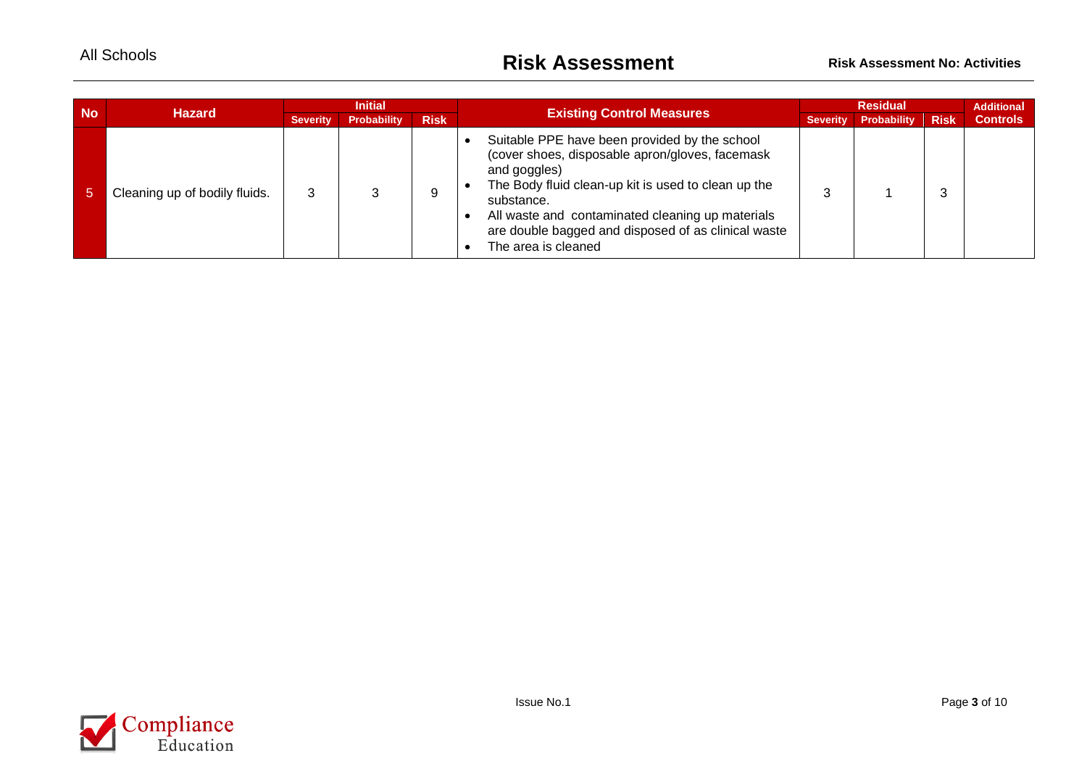| <b>No</b> | <b>Hazard</b>                 | <b>Initial</b>  |                    |             | <b>Existing Control Measures</b>                                                                                                                                                                                                                                                                                        |                 | <b>Residual</b> |             |                 |
|-----------|-------------------------------|-----------------|--------------------|-------------|-------------------------------------------------------------------------------------------------------------------------------------------------------------------------------------------------------------------------------------------------------------------------------------------------------------------------|-----------------|-----------------|-------------|-----------------|
|           |                               | <b>Severity</b> | <b>Probability</b> | <b>Risk</b> |                                                                                                                                                                                                                                                                                                                         | <b>Severity</b> | Probability     | <b>Risk</b> | <b>Controls</b> |
| 57        | Cleaning up of bodily fluids. | 3               |                    | 9           | Suitable PPE have been provided by the school<br>(cover shoes, disposable apron/gloves, facemask<br>and goggles)<br>The Body fluid clean-up kit is used to clean up the<br>substance.<br>All waste and contaminated cleaning up materials<br>are double bagged and disposed of as clinical waste<br>The area is cleaned | ົ               |                 | 3           |                 |

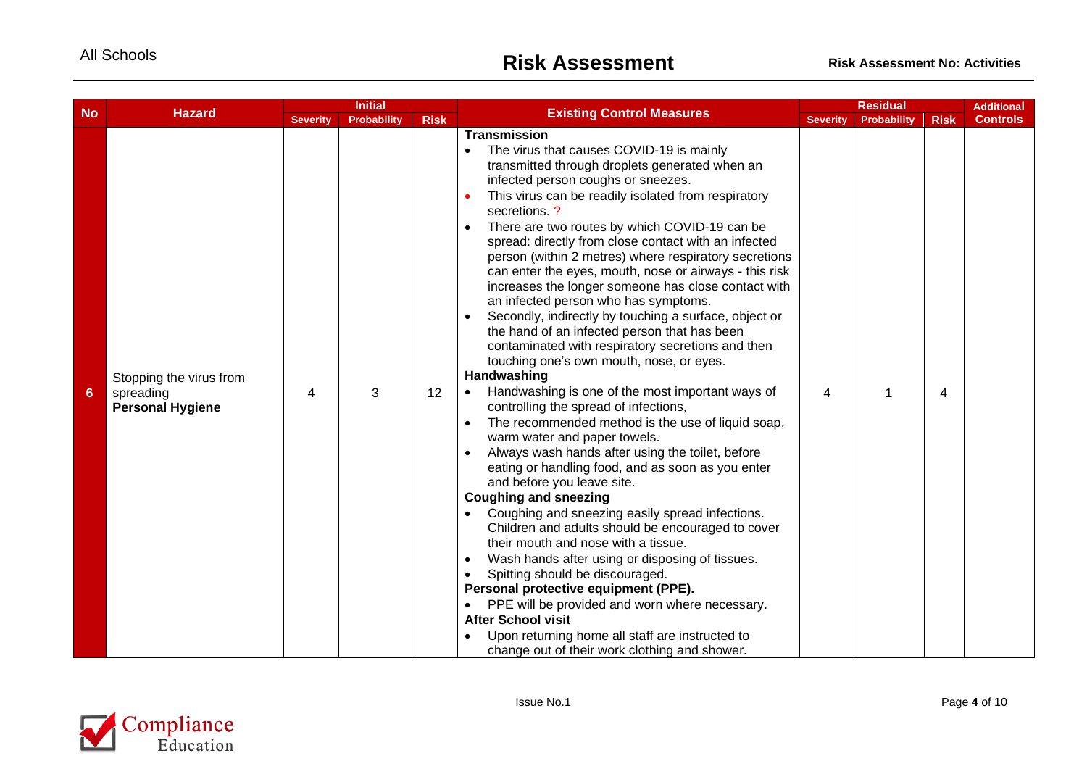|           |                                                                 | <b>Initial</b>  |                    |             |                                                                                                                                                                                                                                                                                                                                                                                                                                                                                                                                                                                                                                                                                                                                                                                                                                                                                                                                                                                                                                                                                                                                                                                                                                                                                                                                                                                                                                                                                                                                                                                                                                                                                                       | <b>Residual</b> |                    |             | <b>Additional</b> |
|-----------|-----------------------------------------------------------------|-----------------|--------------------|-------------|-------------------------------------------------------------------------------------------------------------------------------------------------------------------------------------------------------------------------------------------------------------------------------------------------------------------------------------------------------------------------------------------------------------------------------------------------------------------------------------------------------------------------------------------------------------------------------------------------------------------------------------------------------------------------------------------------------------------------------------------------------------------------------------------------------------------------------------------------------------------------------------------------------------------------------------------------------------------------------------------------------------------------------------------------------------------------------------------------------------------------------------------------------------------------------------------------------------------------------------------------------------------------------------------------------------------------------------------------------------------------------------------------------------------------------------------------------------------------------------------------------------------------------------------------------------------------------------------------------------------------------------------------------------------------------------------------------|-----------------|--------------------|-------------|-------------------|
| <b>No</b> | <b>Hazard</b>                                                   | <b>Severity</b> | <b>Probability</b> | <b>Risk</b> | <b>Existing Control Measures</b>                                                                                                                                                                                                                                                                                                                                                                                                                                                                                                                                                                                                                                                                                                                                                                                                                                                                                                                                                                                                                                                                                                                                                                                                                                                                                                                                                                                                                                                                                                                                                                                                                                                                      | <b>Severity</b> | <b>Probability</b> | <b>Risk</b> | <b>Controls</b>   |
| $6 \,$    | Stopping the virus from<br>spreading<br><b>Personal Hygiene</b> | 4               | 3                  | 12          | <b>Transmission</b><br>The virus that causes COVID-19 is mainly<br>transmitted through droplets generated when an<br>infected person coughs or sneezes.<br>This virus can be readily isolated from respiratory<br>$\bullet$<br>secretions?<br>There are two routes by which COVID-19 can be<br>$\bullet$<br>spread: directly from close contact with an infected<br>person (within 2 metres) where respiratory secretions<br>can enter the eyes, mouth, nose or airways - this risk<br>increases the longer someone has close contact with<br>an infected person who has symptoms.<br>Secondly, indirectly by touching a surface, object or<br>$\bullet$<br>the hand of an infected person that has been<br>contaminated with respiratory secretions and then<br>touching one's own mouth, nose, or eyes.<br>Handwashing<br>Handwashing is one of the most important ways of<br>controlling the spread of infections,<br>The recommended method is the use of liquid soap,<br>$\bullet$<br>warm water and paper towels.<br>Always wash hands after using the toilet, before<br>$\bullet$<br>eating or handling food, and as soon as you enter<br>and before you leave site.<br><b>Coughing and sneezing</b><br>Coughing and sneezing easily spread infections.<br>Children and adults should be encouraged to cover<br>their mouth and nose with a tissue.<br>Wash hands after using or disposing of tissues.<br>$\bullet$<br>Spitting should be discouraged.<br>$\bullet$<br>Personal protective equipment (PPE).<br>PPE will be provided and worn where necessary.<br><b>After School visit</b><br>Upon returning home all staff are instructed to<br>change out of their work clothing and shower. | 4               | 1                  | 4           |                   |

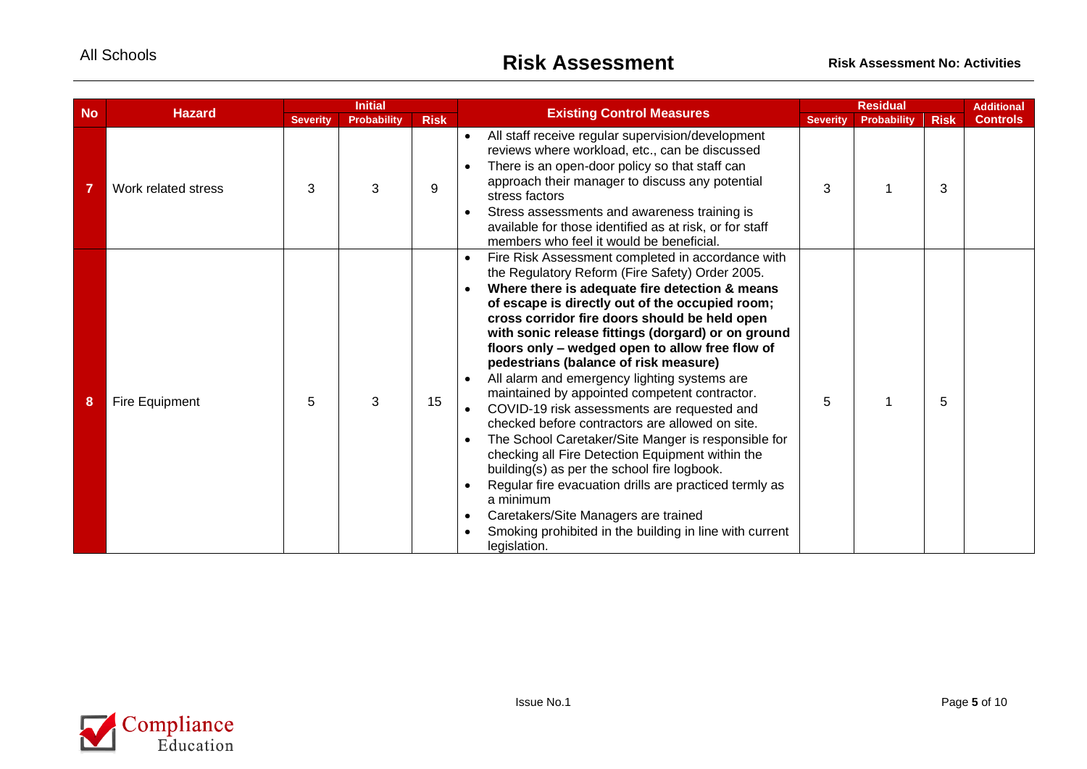| <b>No</b> | <b>Hazard</b>       |                 | <b>Initial</b>     |             | <b>Existing Control Measures</b>                                                                                                                                                                                                                                                                                                                                                                                                                                                                                                                                                                                                                                                                                                                                                                                                                                                                                                                                                                                        |                 | <b>Residual</b> |             | <b>Additional</b> |
|-----------|---------------------|-----------------|--------------------|-------------|-------------------------------------------------------------------------------------------------------------------------------------------------------------------------------------------------------------------------------------------------------------------------------------------------------------------------------------------------------------------------------------------------------------------------------------------------------------------------------------------------------------------------------------------------------------------------------------------------------------------------------------------------------------------------------------------------------------------------------------------------------------------------------------------------------------------------------------------------------------------------------------------------------------------------------------------------------------------------------------------------------------------------|-----------------|-----------------|-------------|-------------------|
|           |                     | <b>Severity</b> | <b>Probability</b> | <b>Risk</b> |                                                                                                                                                                                                                                                                                                                                                                                                                                                                                                                                                                                                                                                                                                                                                                                                                                                                                                                                                                                                                         | <b>Severity</b> | Probability     | <b>Risk</b> | <b>Controls</b>   |
|           | Work related stress | 3               | 3                  | 9           | All staff receive regular supervision/development<br>$\bullet$<br>reviews where workload, etc., can be discussed<br>There is an open-door policy so that staff can<br>$\bullet$<br>approach their manager to discuss any potential<br>stress factors<br>Stress assessments and awareness training is<br>available for those identified as at risk, or for staff<br>members who feel it would be beneficial.                                                                                                                                                                                                                                                                                                                                                                                                                                                                                                                                                                                                             | 3               |                 | 3           |                   |
| 8         | Fire Equipment      | 5               | 3                  | 15          | Fire Risk Assessment completed in accordance with<br>$\bullet$<br>the Regulatory Reform (Fire Safety) Order 2005.<br>Where there is adequate fire detection & means<br>$\bullet$<br>of escape is directly out of the occupied room;<br>cross corridor fire doors should be held open<br>with sonic release fittings (dorgard) or on ground<br>floors only - wedged open to allow free flow of<br>pedestrians (balance of risk measure)<br>All alarm and emergency lighting systems are<br>maintained by appointed competent contractor.<br>COVID-19 risk assessments are requested and<br>checked before contractors are allowed on site.<br>The School Caretaker/Site Manger is responsible for<br>$\bullet$<br>checking all Fire Detection Equipment within the<br>building(s) as per the school fire logbook.<br>Regular fire evacuation drills are practiced termly as<br>a minimum<br>Caretakers/Site Managers are trained<br>$\bullet$<br>Smoking prohibited in the building in line with current<br>legislation. | 5               |                 | 5           |                   |

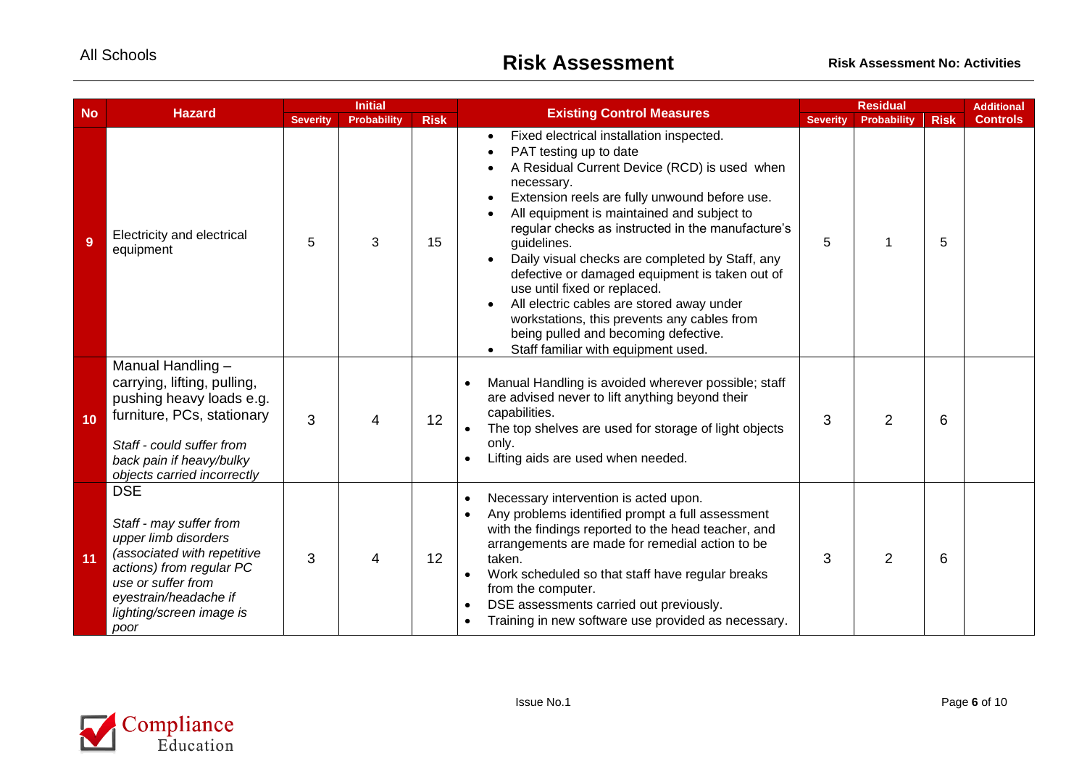|    | <b>No</b><br><b>Hazard</b>                                                                                                                                                                                  |                 | <b>Initial</b>     |             | <b>Existing Control Measures</b>                                                                                                                                                                                                                                                                                                                                                                                                                                                                                                                                                                                    |                 | <b>Residual</b> |             |                 |
|----|-------------------------------------------------------------------------------------------------------------------------------------------------------------------------------------------------------------|-----------------|--------------------|-------------|---------------------------------------------------------------------------------------------------------------------------------------------------------------------------------------------------------------------------------------------------------------------------------------------------------------------------------------------------------------------------------------------------------------------------------------------------------------------------------------------------------------------------------------------------------------------------------------------------------------------|-----------------|-----------------|-------------|-----------------|
|    |                                                                                                                                                                                                             | <b>Severity</b> | <b>Probability</b> | <b>Risk</b> |                                                                                                                                                                                                                                                                                                                                                                                                                                                                                                                                                                                                                     | <b>Severity</b> | Probability     | <b>Risk</b> | <b>Controls</b> |
| 9  | Electricity and electrical<br>equipment                                                                                                                                                                     | 5               | 3                  | 15          | Fixed electrical installation inspected.<br>PAT testing up to date<br>A Residual Current Device (RCD) is used when<br>necessary.<br>Extension reels are fully unwound before use.<br>All equipment is maintained and subject to<br>regular checks as instructed in the manufacture's<br>guidelines.<br>Daily visual checks are completed by Staff, any<br>defective or damaged equipment is taken out of<br>use until fixed or replaced.<br>All electric cables are stored away under<br>workstations, this prevents any cables from<br>being pulled and becoming defective.<br>Staff familiar with equipment used. | 5               |                 | 5           |                 |
| 10 | Manual Handling -<br>carrying, lifting, pulling,<br>pushing heavy loads e.g.<br>furniture, PCs, stationary<br>Staff - could suffer from<br>back pain if heavy/bulky<br>objects carried incorrectly          | 3               | 4                  | 12          | Manual Handling is avoided wherever possible; staff<br>$\bullet$<br>are advised never to lift anything beyond their<br>capabilities.<br>The top shelves are used for storage of light objects<br>only.<br>Lifting aids are used when needed.<br>$\bullet$                                                                                                                                                                                                                                                                                                                                                           | 3               | $\overline{2}$  | 6           |                 |
| 11 | <b>DSE</b><br>Staff - may suffer from<br>upper limb disorders<br>(associated with repetitive<br>actions) from regular PC<br>use or suffer from<br>eyestrain/headache if<br>lighting/screen image is<br>poor | 3               | 4                  | 12          | Necessary intervention is acted upon.<br>$\bullet$<br>Any problems identified prompt a full assessment<br>$\bullet$<br>with the findings reported to the head teacher, and<br>arrangements are made for remedial action to be<br>taken.<br>Work scheduled so that staff have regular breaks<br>$\bullet$<br>from the computer.<br>DSE assessments carried out previously.<br>$\bullet$<br>Training in new software use provided as necessary.<br>$\bullet$                                                                                                                                                          | 3               | $\overline{2}$  | 6           |                 |

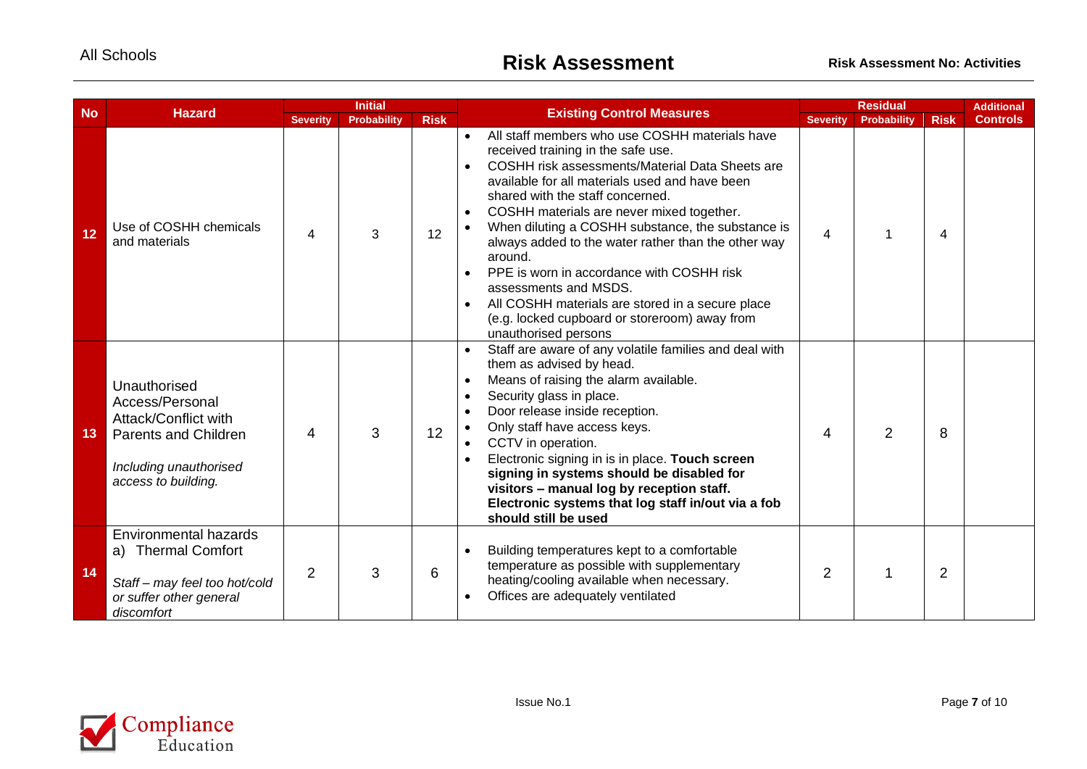| <b>No</b> | <b>Hazard</b>                                                                                                                    |                 | <b>Initial</b>     |             | <b>Existing Control Measures</b>                                                                                                                                                                                                                                                                                                                                                                                                                                                                                                                                                                                                                         | <b>Residual</b> |                    |                | <b>Additional</b> |
|-----------|----------------------------------------------------------------------------------------------------------------------------------|-----------------|--------------------|-------------|----------------------------------------------------------------------------------------------------------------------------------------------------------------------------------------------------------------------------------------------------------------------------------------------------------------------------------------------------------------------------------------------------------------------------------------------------------------------------------------------------------------------------------------------------------------------------------------------------------------------------------------------------------|-----------------|--------------------|----------------|-------------------|
|           |                                                                                                                                  | <b>Severity</b> | <b>Probability</b> | <b>Risk</b> |                                                                                                                                                                                                                                                                                                                                                                                                                                                                                                                                                                                                                                                          | <b>Severity</b> | <b>Probability</b> | <b>Risk</b>    | <b>Controls</b>   |
| 12        | Use of COSHH chemicals<br>and materials                                                                                          | 4               | 3                  | 12          | All staff members who use COSHH materials have<br>received training in the safe use.<br>COSHH risk assessments/Material Data Sheets are<br>$\bullet$<br>available for all materials used and have been<br>shared with the staff concerned.<br>COSHH materials are never mixed together.<br>$\bullet$<br>When diluting a COSHH substance, the substance is<br>$\bullet$<br>always added to the water rather than the other way<br>around.<br>PPE is worn in accordance with COSHH risk<br>assessments and MSDS.<br>All COSHH materials are stored in a secure place<br>$\bullet$<br>(e.g. locked cupboard or storeroom) away from<br>unauthorised persons | $\overline{4}$  |                    | $\overline{4}$ |                   |
| 13        | Unauthorised<br>Access/Personal<br>Attack/Conflict with<br>Parents and Children<br>Including unauthorised<br>access to building. | 4               | 3                  | 12          | Staff are aware of any volatile families and deal with<br>$\bullet$<br>them as advised by head.<br>Means of raising the alarm available.<br>$\bullet$<br>Security glass in place.<br>$\bullet$<br>Door release inside reception.<br>$\bullet$<br>Only staff have access keys.<br>$\bullet$<br>CCTV in operation.<br>$\bullet$<br>Electronic signing in is in place. Touch screen<br>$\bullet$<br>signing in systems should be disabled for<br>visitors - manual log by reception staff.<br>Electronic systems that log staff in/out via a fob<br>should still be used                                                                                    | 4               | $\overline{2}$     | 8              |                   |
| 14        | Environmental hazards<br>a) Thermal Comfort<br>Staff - may feel too hot/cold<br>or suffer other general<br>discomfort            | $\overline{2}$  | 3                  | 6           | Building temperatures kept to a comfortable<br>$\bullet$<br>temperature as possible with supplementary<br>heating/cooling available when necessary.<br>Offices are adequately ventilated<br>$\bullet$                                                                                                                                                                                                                                                                                                                                                                                                                                                    | $\overline{2}$  | 1                  | $\overline{2}$ |                   |

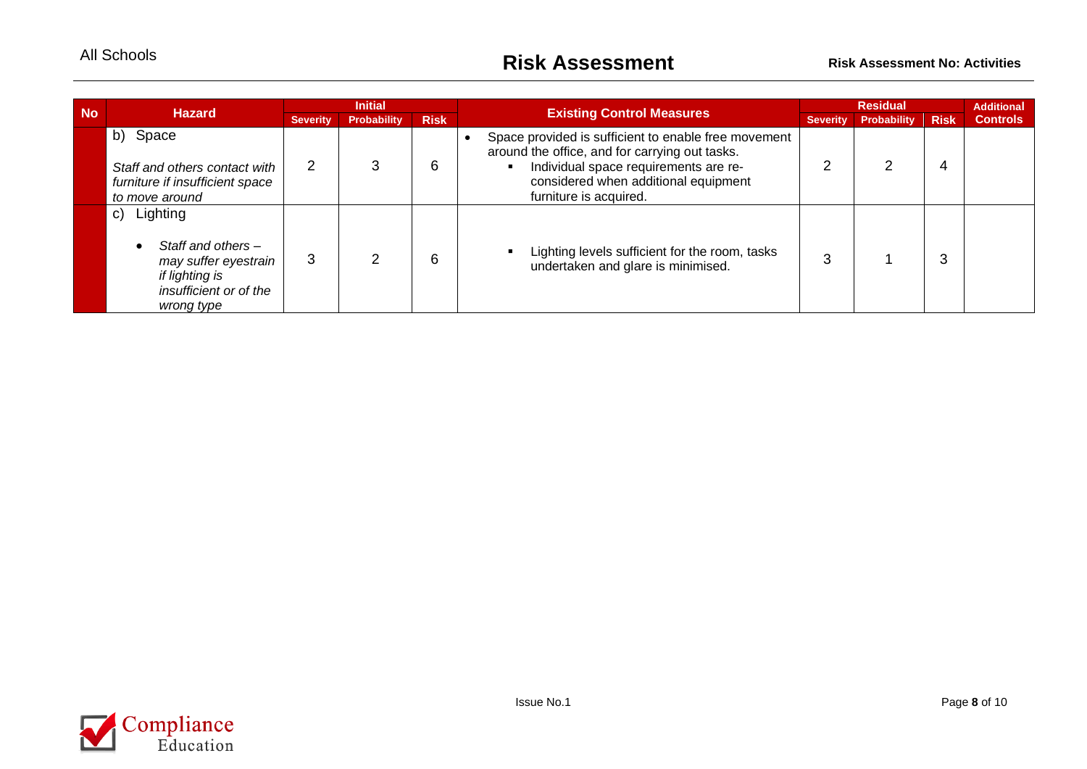| <b>No</b> | <b>Hazard</b>                                                                                                          |                 | <b>Initial</b>     |             |                                                                                                                                                                                                                   |                 | <b>Residual</b>    |             |                 |
|-----------|------------------------------------------------------------------------------------------------------------------------|-----------------|--------------------|-------------|-------------------------------------------------------------------------------------------------------------------------------------------------------------------------------------------------------------------|-----------------|--------------------|-------------|-----------------|
|           |                                                                                                                        | <b>Severity</b> | <b>Probability</b> | <b>Risk</b> | <b>Existing Control Measures</b>                                                                                                                                                                                  | <b>Severity</b> | <b>Probability</b> | <b>Risk</b> | <b>Controls</b> |
|           | b) Space<br>Staff and others contact with<br>furniture if insufficient space<br>to move around                         | 2               |                    | 6           | Space provided is sufficient to enable free movement<br>around the office, and for carrying out tasks.<br>Individual space requirements are re-<br>considered when additional equipment<br>furniture is acquired. |                 |                    | 4           |                 |
|           | Lighting<br>C)<br>Staff and others -<br>may suffer eyestrain<br>if lighting is<br>insufficient or of the<br>wrong type | 3               |                    | 6           | Lighting levels sufficient for the room, tasks<br>undertaken and glare is minimised.                                                                                                                              | З               |                    |             |                 |

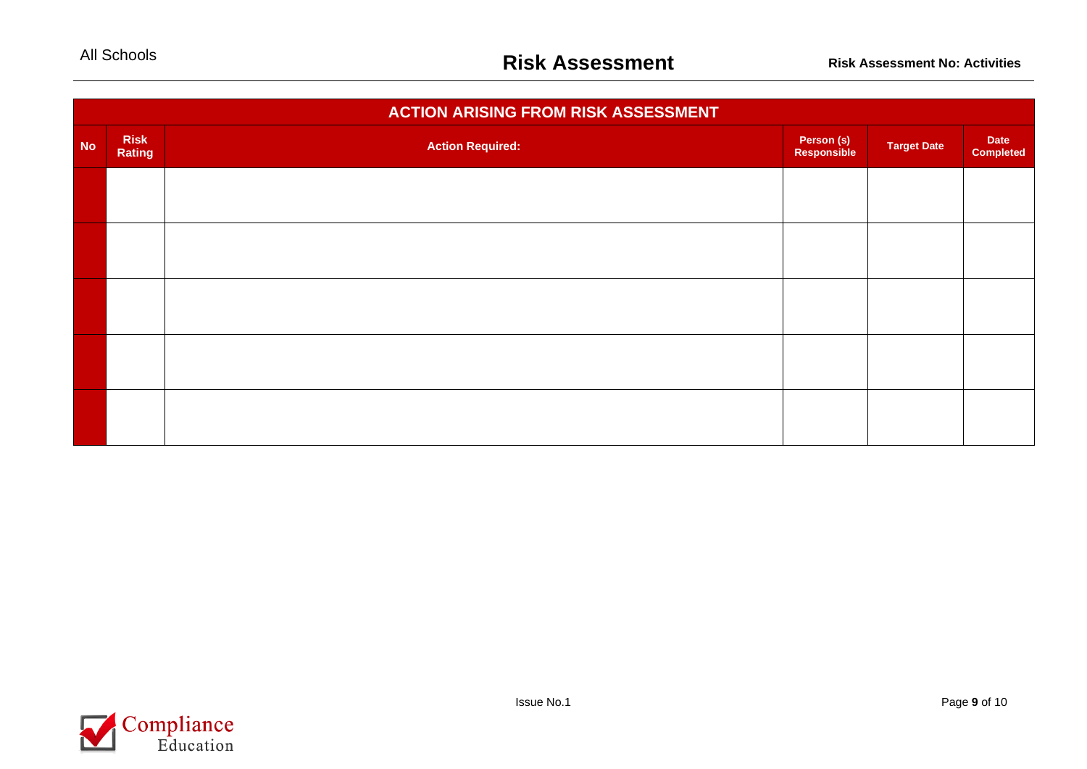|           |                       | <b>ACTION ARISING FROM RISK ASSESSMENT</b> |                           |                    |                          |
|-----------|-----------------------|--------------------------------------------|---------------------------|--------------------|--------------------------|
| <b>No</b> | <b>Risk</b><br>Rating | <b>Action Required:</b>                    | Person (s)<br>Responsible | <b>Target Date</b> | Date<br><b>Completed</b> |
|           |                       |                                            |                           |                    |                          |
|           |                       |                                            |                           |                    |                          |
|           |                       |                                            |                           |                    |                          |
|           |                       |                                            |                           |                    |                          |
|           |                       |                                            |                           |                    |                          |